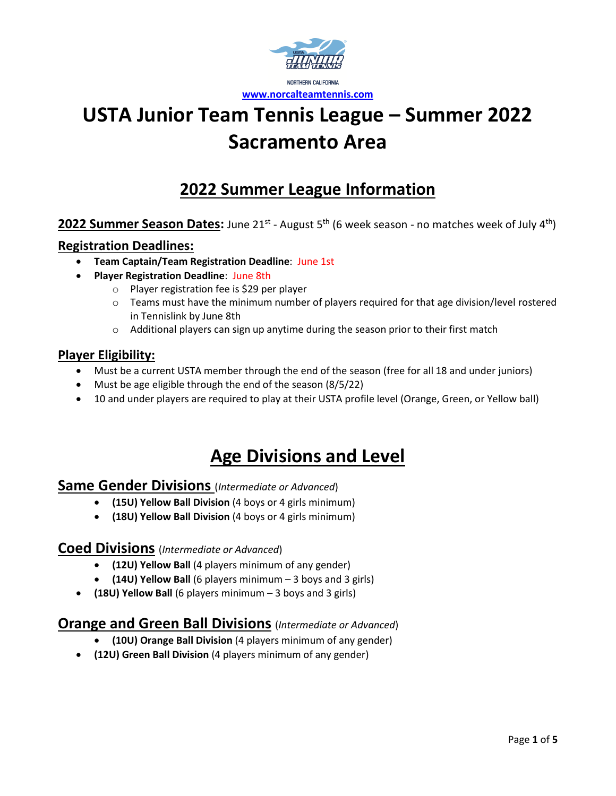

# **2022 Summer League Information**

### 2022 Summer Season Dates: June 21<sup>st</sup> - August 5<sup>th</sup> (6 week season - no matches week of July 4<sup>th</sup>)

#### **Registration Deadlines:**

- **Team Captain/Team Registration Deadline**: June 1st
- **Player Registration Deadline**: June 8th
	- o Player registration fee is \$29 per player
	- o Teams must have the minimum number of players required for that age division/level rostered in Tennislink by June 8th
	- $\circ$  Additional players can sign up anytime during the season prior to their first match

#### **Player Eligibility:**

- Must be a current USTA member through the end of the season (free for all 18 and under juniors)
- Must be age eligible through the end of the season (8/5/22)
- 10 and under players are required to play at their USTA profile level (Orange, Green, or Yellow ball)

# **Age Divisions and Level**

#### **Same Gender Divisions** (*Intermediate or Advanced*)

- **(15U) Yellow Ball Division** (4 boys or 4 girls minimum)
- **(18U) Yellow Ball Division** (4 boys or 4 girls minimum)

#### **Coed Divisions** (*Intermediate or Advanced*)

- **(12U) Yellow Ball** (4 players minimum of any gender)
- **(14U) Yellow Ball** (6 players minimum 3 boys and 3 girls)
- **(18U) Yellow Ball** (6 players minimum 3 boys and 3 girls)

### **Orange and Green Ball Divisions** (*Intermediate or Advanced*)

- **(10U) Orange Ball Division** (4 players minimum of any gender)
- **(12U) Green Ball Division** (4 players minimum of any gender)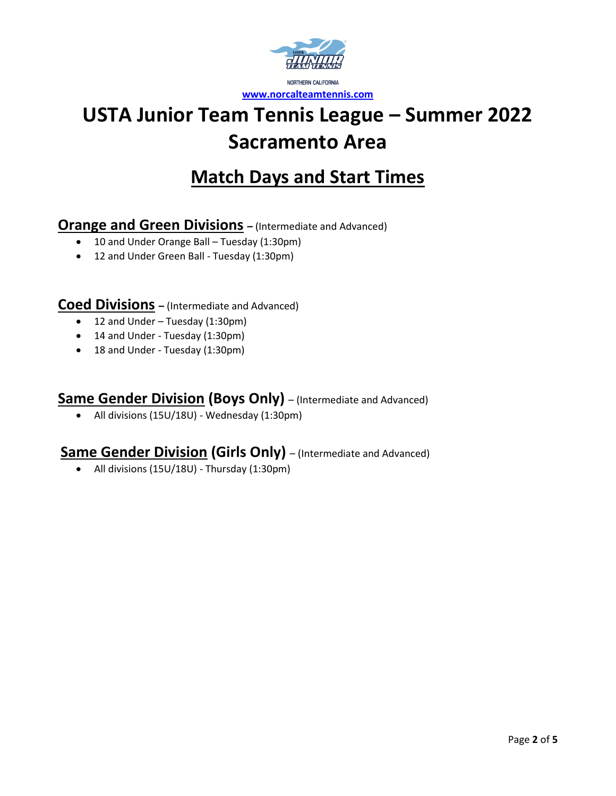

# **Match Days and Start Times**

## **Orange and Green Divisions –** (Intermediate and Advanced)

- 10 and Under Orange Ball Tuesday (1:30pm)
- 12 and Under Green Ball Tuesday (1:30pm)

**Coed Divisions –** (Intermediate and Advanced)

- 12 and Under Tuesday (1:30pm)
- 14 and Under Tuesday (1:30pm)
- 18 and Under Tuesday (1:30pm)

## **Same Gender Division (Boys Only)** – (Intermediate and Advanced)

• All divisions (15U/18U) - Wednesday (1:30pm)

## **Same Gender Division (Girls Only)** – (Intermediate and Advanced)

• All divisions (15U/18U) - Thursday (1:30pm)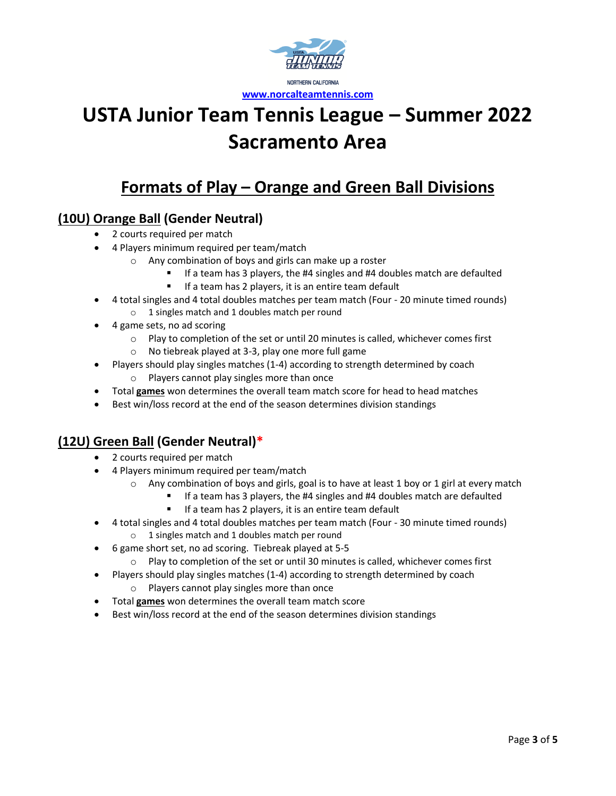

# **Formats of Play – Orange and Green Ball Divisions**

## **(10U) Orange Ball (Gender Neutral)**

- 2 courts required per match
- 4 Players minimum required per team/match
	- o Any combination of boys and girls can make up a roster
		- If a team has 3 players, the #4 singles and #4 doubles match are defaulted
		- If a team has 2 players, it is an entire team default
- 4 total singles and 4 total doubles matches per team match (Four 20 minute timed rounds) o 1 singles match and 1 doubles match per round
- 4 game sets, no ad scoring
	- $\circ$  Play to completion of the set or until 20 minutes is called, whichever comes first
	- o No tiebreak played at 3-3, play one more full game
- Players should play singles matches (1-4) according to strength determined by coach o Players cannot play singles more than once
- Total **games** won determines the overall team match score for head to head matches
- Best win/loss record at the end of the season determines division standings

### **(12U) Green Ball (Gender Neutral)\***

- 2 courts required per match
- 4 Players minimum required per team/match
	- $\circ$  Any combination of boys and girls, goal is to have at least 1 boy or 1 girl at every match
		- If a team has 3 players, the #4 singles and #4 doubles match are defaulted
		- If a team has 2 players, it is an entire team default
- 4 total singles and 4 total doubles matches per team match (Four 30 minute timed rounds)
	- o 1 singles match and 1 doubles match per round
- 6 game short set, no ad scoring. Tiebreak played at 5-5
	- $\circ$  Play to completion of the set or until 30 minutes is called, whichever comes first
- Players should play singles matches (1-4) according to strength determined by coach
	- o Players cannot play singles more than once
- Total **games** won determines the overall team match score
- Best win/loss record at the end of the season determines division standings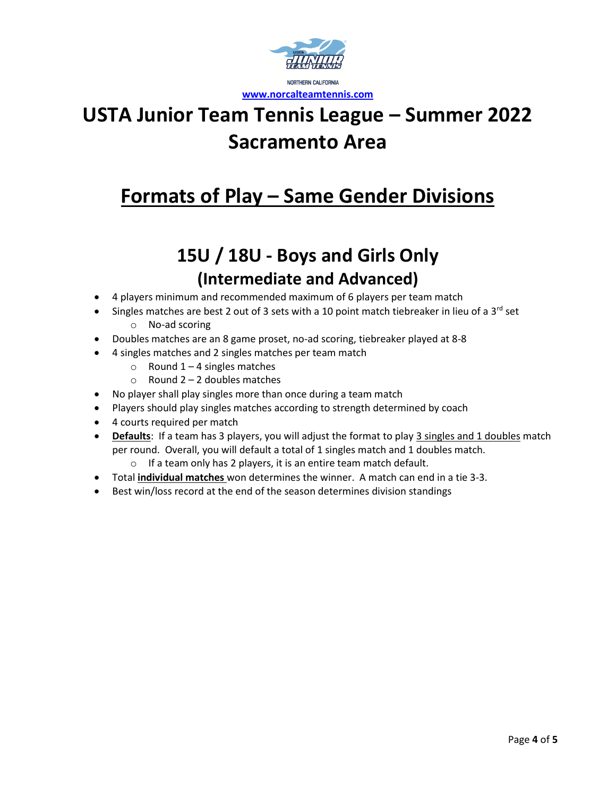

# **Formats of Play – Same Gender Divisions**

# **15U / 18U - Boys and Girls Only (Intermediate and Advanced)**

- 4 players minimum and recommended maximum of 6 players per team match
- Singles matches are best 2 out of 3 sets with a 10 point match tiebreaker in lieu of a 3<sup>rd</sup> set o No-ad scoring
- Doubles matches are an 8 game proset, no-ad scoring, tiebreaker played at 8-8
- 4 singles matches and 2 singles matches per team match
	- $\circ$  Round 1 4 singles matches
	- $\circ$  Round 2 2 doubles matches
- No player shall play singles more than once during a team match
- Players should play singles matches according to strength determined by coach
- 4 courts required per match
- **Defaults**: If a team has 3 players, you will adjust the format to play 3 singles and 1 doubles match per round. Overall, you will default a total of 1 singles match and 1 doubles match.
	- $\circ$  If a team only has 2 players, it is an entire team match default.
- Total **individual matches** won determines the winner. A match can end in a tie 3-3.
- Best win/loss record at the end of the season determines division standings